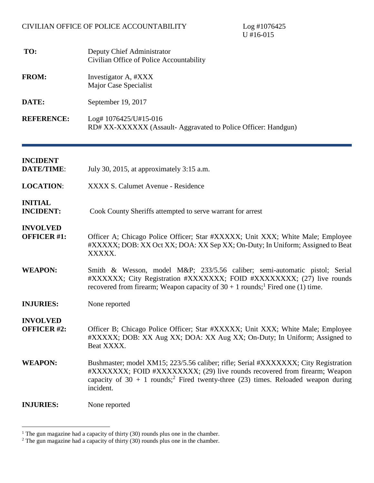U #16-015

- **TO:** Deputy Chief Administrator Civilian Office of Police Accountability
- FROM: Investigator A, #XXX Major Case Specialist
- **DATE:** September 19, 2017
- **REFERENCE:** Log# 1076425/U#15-016 RD# XX-XXXXXX (Assault- Aggravated to Police Officer: Handgun)

| <b>INCIDENT</b><br><b>DATE/TIME:</b>  | July 30, 2015, at approximately 3:15 a.m.                                                                                                                                                                                                                                      |
|---------------------------------------|--------------------------------------------------------------------------------------------------------------------------------------------------------------------------------------------------------------------------------------------------------------------------------|
| <b>LOCATION:</b>                      | XXXX S. Calumet Avenue - Residence                                                                                                                                                                                                                                             |
| <b>INITIAL</b><br><b>INCIDENT:</b>    | Cook County Sheriffs attempted to serve warrant for arrest                                                                                                                                                                                                                     |
| <b>INVOLVED</b><br><b>OFFICER #1:</b> | Officer A; Chicago Police Officer; Star #XXXXX; Unit XXX; White Male; Employee<br>#XXXXX; DOB: XX Oct XX; DOA: XX Sep XX; On-Duty; In Uniform; Assigned to Beat<br>XXXXX.                                                                                                      |
| <b>WEAPON:</b>                        | Smith & Wesson, model M&P 233/5.56 caliber; semi-automatic pistol; Serial<br>#XXXXXXX; City Registration #XXXXXXX; FOID #XXXXXXXX; (27) live rounds<br>recovered from firearm; Weapon capacity of $30 + 1$ rounds; <sup>1</sup> Fired one (1) time.                            |
| <b>INJURIES:</b>                      | None reported                                                                                                                                                                                                                                                                  |
| <b>INVOLVED</b><br><b>OFFICER #2:</b> | Officer B; Chicago Police Officer; Star #XXXXX; Unit XXX; White Male; Employee<br>#XXXXX; DOB: XX Aug XX; DOA: XX Aug XX; On-Duty; In Uniform; Assigned to<br>Beat XXXX.                                                                                                       |
| <b>WEAPON:</b>                        | Bushmaster; model XM15; 223/5.56 caliber; rifle; Serial #XXXXXXX; City Registration<br>#XXXXXXX; FOID #XXXXXXXX; (29) live rounds recovered from firearm; Weapon<br>capacity of 30 + 1 rounds; <sup>2</sup> Fired twenty-three (23) times. Reloaded weapon during<br>incident. |
| <b>INJURIES:</b>                      | None reported                                                                                                                                                                                                                                                                  |

<span id="page-0-1"></span><span id="page-0-0"></span> $1$  The gun magazine had a capacity of thirty (30) rounds plus one in the chamber.

<sup>&</sup>lt;sup>2</sup> The gun magazine had a capacity of thirty (30) rounds plus one in the chamber.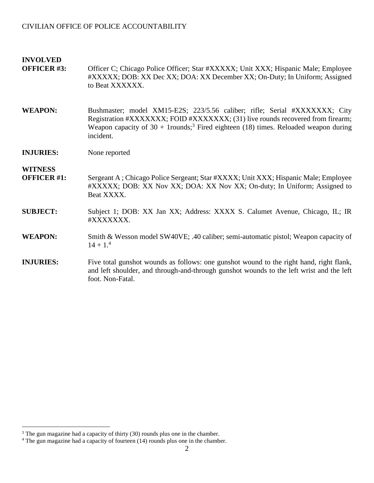| <b>INVOLVED</b><br><b>OFFICER #3:</b> | Officer C; Chicago Police Officer; Star #XXXXX; Unit XXX; Hispanic Male; Employee<br>#XXXXX; DOB: XX Dec XX; DOA: XX December XX; On-Duty; In Uniform; Assigned<br>to Beat XXXXXX.                                                                                              |
|---------------------------------------|---------------------------------------------------------------------------------------------------------------------------------------------------------------------------------------------------------------------------------------------------------------------------------|
| <b>WEAPON:</b>                        | Bushmaster; model XM15-E2S; 223/5.56 caliber; rifle; Serial #XXXXXXX; City<br>Registration #XXXXXXX; FOID #XXXXXXX; (31) live rounds recovered from firearm;<br>Weapon capacity of $30 + 1$ rounds; <sup>3</sup> Fired eighteen (18) times. Reloaded weapon during<br>incident. |
| <b>INJURIES:</b>                      | None reported                                                                                                                                                                                                                                                                   |
| <b>WITNESS</b><br><b>OFFICER #1:</b>  | Sergeant A; Chicago Police Sergeant; Star #XXXX; Unit XXX; Hispanic Male; Employee<br>#XXXXX; DOB: XX Nov XX; DOA: XX Nov XX; On-duty; In Uniform; Assigned to<br>Beat XXXX.                                                                                                    |
| <b>SUBJECT:</b>                       | Subject 1; DOB: XX Jan XX; Address: XXXX S. Calumet Avenue, Chicago, IL; IR<br>#XXXXXXX.                                                                                                                                                                                        |
| <b>WEAPON:</b>                        | Smith & Wesson model SW40VE; .40 caliber; semi-automatic pistol; Weapon capacity of<br>$14 + 1.4$                                                                                                                                                                               |
| <b>INJURIES:</b>                      | Five total gunshot wounds as follows: one gunshot wound to the right hand, right flank,<br>and left shoulder, and through-and-through gunshot wounds to the left wrist and the left<br>foot. Non-Fatal.                                                                         |

<span id="page-1-1"></span><span id="page-1-0"></span> $3$  The gun magazine had a capacity of thirty (30) rounds plus one in the chamber.

 $4$  The gun magazine had a capacity of fourteen (14) rounds plus one in the chamber.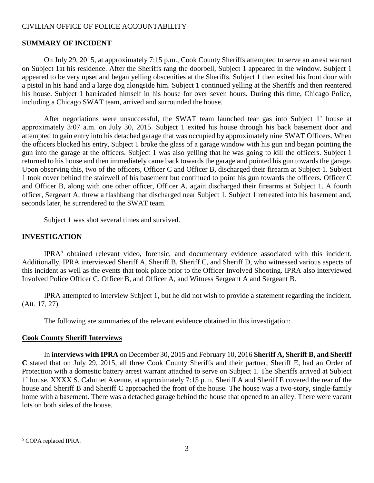#### **SUMMARY OF INCIDENT**

On July 29, 2015, at approximately 7:15 p.m., Cook County Sheriffs attempted to serve an arrest warrant on Subject 1at his residence. After the Sheriffs rang the doorbell, Subject 1 appeared in the window. Subject 1 appeared to be very upset and began yelling obscenities at the Sheriffs. Subject 1 then exited his front door with a pistol in his hand and a large dog alongside him. Subject 1 continued yelling at the Sheriffs and then reentered his house. Subject 1 barricaded himself in his house for over seven hours. During this time, Chicago Police, including a Chicago SWAT team, arrived and surrounded the house.

After negotiations were unsuccessful, the SWAT team launched tear gas into Subject 1' house at approximately 3:07 a.m. on July 30, 2015. Subject 1 exited his house through his back basement door and attempted to gain entry into his detached garage that was occupied by approximately nine SWAT Officers. When the officers blocked his entry, Subject 1 broke the glass of a garage window with his gun and began pointing the gun into the garage at the officers. Subject 1 was also yelling that he was going to kill the officers. Subject 1 returned to his house and then immediately came back towards the garage and pointed his gun towards the garage. Upon observing this, two of the officers, Officer C and Officer B, discharged their firearm at Subject 1. Subject 1 took cover behind the stairwell of his basement but continued to point his gun towards the officers. Officer C and Officer B, along with one other officer, Officer A, again discharged their firearms at Subject 1. A fourth officer, Sergeant A, threw a flashbang that discharged near Subject 1. Subject 1 retreated into his basement and, seconds later, he surrendered to the SWAT team.

Subject 1 was shot several times and survived.

#### **INVESTIGATION**

IPRA<sup>[5](#page-2-0)</sup> obtained relevant video, forensic, and documentary evidence associated with this incident. Additionally, IPRA interviewed Sheriff A, Sheriff B, Sheriff C, and Sheriff D, who witnessed various aspects of this incident as well as the events that took place prior to the Officer Involved Shooting. IPRA also interviewed Involved Police Officer C, Officer B, and Officer A, and Witness Sergeant A and Sergeant B.

IPRA attempted to interview Subject 1, but he did not wish to provide a statement regarding the incident. (Att. 17, 27)

The following are summaries of the relevant evidence obtained in this investigation:

#### **Cook County Sheriff Interviews**

In **interviews with IPRA** on December 30, 2015 and February 10, 2016 **Sheriff A, Sheriff B, and Sheriff C** stated that on July 29, 2015, all three Cook County Sheriffs and their partner, Sheriff E, had an Order of Protection with a domestic battery arrest warrant attached to serve on Subject 1. The Sheriffs arrived at Subject 1' house, XXXX S. Calumet Avenue, at approximately 7:15 p.m. Sheriff A and Sheriff E covered the rear of the house and Sheriff B and Sheriff C approached the front of the house. The house was a two-story, single-family home with a basement. There was a detached garage behind the house that opened to an alley. There were vacant lots on both sides of the house.

<span id="page-2-0"></span><sup>5</sup> COPA replaced IPRA.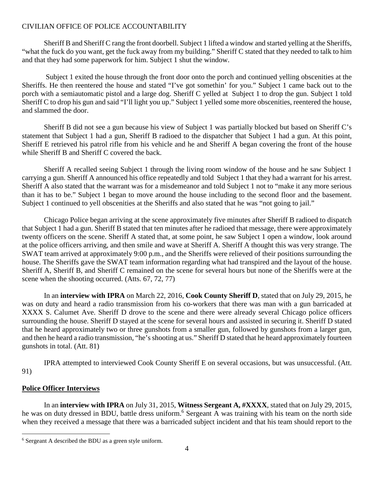Sheriff B and Sheriff C rang the front doorbell. Subject 1 lifted a window and started yelling at the Sheriffs, "what the fuck do you want, get the fuck away from my building." Sheriff C stated that they needed to talk to him and that they had some paperwork for him. Subject 1 shut the window.

Subject 1 exited the house through the front door onto the porch and continued yelling obscenities at the Sheriffs. He then reentered the house and stated "I've got somethin' for you." Subject 1 came back out to the porch with a semiautomatic pistol and a large dog. Sheriff C yelled at Subject 1 to drop the gun. Subject 1 told Sheriff C to drop his gun and said "I'll light you up." Subject 1 yelled some more obscenities, reentered the house, and slammed the door.

Sheriff B did not see a gun because his view of Subject 1 was partially blocked but based on Sheriff C's statement that Subject 1 had a gun, Sheriff B radioed to the dispatcher that Subject 1 had a gun. At this point, Sheriff E retrieved his patrol rifle from his vehicle and he and Sheriff A began covering the front of the house while Sheriff B and Sheriff C covered the back.

Sheriff A recalled seeing Subject 1 through the living room window of the house and he saw Subject 1 carrying a gun. Sheriff A announced his office repeatedly and told Subject 1 that they had a warrant for his arrest. Sheriff A also stated that the warrant was for a misdemeanor and told Subject 1 not to "make it any more serious than it has to be." Subject 1 began to move around the house including to the second floor and the basement. Subject 1 continued to yell obscenities at the Sheriffs and also stated that he was "not going to jail."

Chicago Police began arriving at the scene approximately five minutes after Sheriff B radioed to dispatch that Subject 1 had a gun. Sheriff B stated that ten minutes after he radioed that message, there were approximately twenty officers on the scene. Sheriff A stated that, at some point, he saw Subject 1 open a window, look around at the police officers arriving, and then smile and wave at Sheriff A. Sheriff A thought this was very strange. The SWAT team arrived at approximately 9:00 p.m., and the Sheriffs were relieved of their positions surrounding the house. The Sheriffs gave the SWAT team information regarding what had transpired and the layout of the house. Sheriff A, Sheriff B, and Sheriff C remained on the scene for several hours but none of the Sheriffs were at the scene when the shooting occurred. (Atts. 67, 72, 77)

In an **interview with IPRA** on March 22, 2016, **Cook County Sheriff D**, stated that on July 29, 2015, he was on duty and heard a radio transmission from his co-workers that there was man with a gun barricaded at XXXX S. Calumet Ave. Sheriff D drove to the scene and there were already several Chicago police officers surrounding the house. Sheriff D stayed at the scene for several hours and assisted in securing it. Sheriff D stated that he heard approximately two or three gunshots from a smaller gun, followed by gunshots from a larger gun, and then he heard a radio transmission, "he's shooting at us." Sheriff D stated that he heard approximately fourteen gunshots in total. (Att. 81)

IPRA attempted to interviewed Cook County Sheriff E on several occasions, but was unsuccessful. (Att. 91)

### **Police Officer Interviews**

In an **interview with IPRA** on July 31, 2015, **Witness Sergeant A, #XXXX**, stated that on July 29, 2015, he was on duty dressed in BDU, battle dress uniform.<sup>[6](#page-3-0)</sup> Sergeant A was training with his team on the north side when they received a message that there was a barricaded subject incident and that his team should report to the

<span id="page-3-0"></span><sup>6</sup> Sergeant A described the BDU as a green style uniform.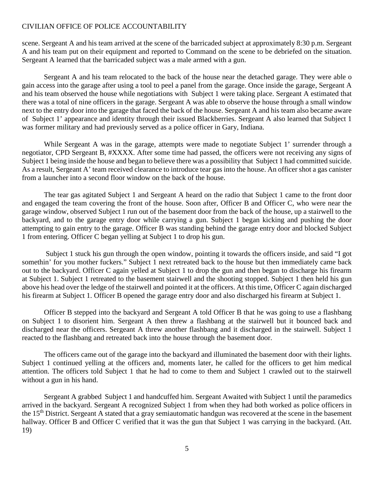scene. Sergeant A and his team arrived at the scene of the barricaded subject at approximately 8:30 p.m. Sergeant A and his team put on their equipment and reported to Command on the scene to be debriefed on the situation. Sergeant A learned that the barricaded subject was a male armed with a gun.

Sergeant A and his team relocated to the back of the house near the detached garage. They were able o gain access into the garage after using a tool to peel a panel from the garage. Once inside the garage, Sergeant A and his team observed the house while negotiations with Subject 1 were taking place. Sergeant A estimated that there was a total of nine officers in the garage. Sergeant A was able to observe the house through a small window next to the entry door into the garage that faced the back of the house. Sergeant A and his team also became aware of Subject 1' appearance and identity through their issued Blackberries. Sergeant A also learned that Subject 1 was former military and had previously served as a police officer in Gary, Indiana.

While Sergeant A was in the garage, attempts were made to negotiate Subject 1' surrender through a negotiator, CPD Sergeant B, #XXXX. After some time had passed, the officers were not receiving any signs of Subject 1 being inside the house and began to believe there was a possibility that Subject 1 had committed suicide. As a result, Sergeant A' team received clearance to introduce tear gas into the house. An officer shot a gas canister from a launcher into a second floor window on the back of the house.

The tear gas agitated Subject 1 and Sergeant A heard on the radio that Subject 1 came to the front door and engaged the team covering the front of the house. Soon after, Officer B and Officer C, who were near the garage window, observed Subject 1 run out of the basement door from the back of the house, up a stairwell to the backyard, and to the garage entry door while carrying a gun. Subject 1 began kicking and pushing the door attempting to gain entry to the garage. Officer B was standing behind the garage entry door and blocked Subject 1 from entering. Officer C began yelling at Subject 1 to drop his gun.

Subject 1 stuck his gun through the open window, pointing it towards the officers inside, and said "I got somethin' for you mother fuckers." Subject 1 next retreated back to the house but then immediately came back out to the backyard. Officer C again yelled at Subject 1 to drop the gun and then began to discharge his firearm at Subject 1. Subject 1 retreated to the basement stairwell and the shooting stopped. Subject 1 then held his gun above his head over the ledge of the stairwell and pointed it at the officers. At this time, Officer C again discharged his firearm at Subject 1. Officer B opened the garage entry door and also discharged his firearm at Subject 1.

Officer B stepped into the backyard and Sergeant A told Officer B that he was going to use a flashbang on Subject 1 to disorient him. Sergeant A then threw a flashbang at the stairwell but it bounced back and discharged near the officers. Sergeant A threw another flashbang and it discharged in the stairwell. Subject 1 reacted to the flashbang and retreated back into the house through the basement door.

The officers came out of the garage into the backyard and illuminated the basement door with their lights. Subject 1 continued yelling at the officers and, moments later, he called for the officers to get him medical attention. The officers told Subject 1 that he had to come to them and Subject 1 crawled out to the stairwell without a gun in his hand.

Sergeant A grabbed Subject 1 and handcuffed him. Sergeant Awaited with Subject 1 until the paramedics arrived in the backyard. Sergeant A recognized Subject 1 from when they had both worked as police officers in the 15<sup>th</sup> District. Sergeant A stated that a gray semiautomatic handgun was recovered at the scene in the basement hallway. Officer B and Officer C verified that it was the gun that Subject 1 was carrying in the backyard. (Att. 19)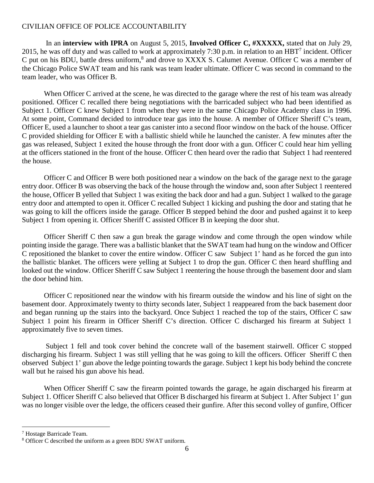In an **interview with IPRA** on August 5, 2015, **Involved Officer C, #XXXXX,** stated that on July 29, 2015,he was off duty and was called to work at approximately 7:30 p.m. in relation to an HBT<sup>7</sup> incident. Officer C put on his BDU, battle dress uniform,<sup>[8](#page-5-1)</sup> and drove to XXXX S. Calumet Avenue. Officer C was a member of the Chicago Police SWAT team and his rank was team leader ultimate. Officer C was second in command to the team leader, who was Officer B.

When Officer C arrived at the scene, he was directed to the garage where the rest of his team was already positioned. Officer C recalled there being negotiations with the barricaded subject who had been identified as Subject 1. Officer C knew Subject 1 from when they were in the same Chicago Police Academy class in 1996. At some point, Command decided to introduce tear gas into the house. A member of Officer Sheriff C's team, Officer E, used a launcher to shoot a tear gas canister into a second floor window on the back of the house. Officer C provided shielding for Officer E with a ballistic shield while he launched the canister. A few minutes after the gas was released, Subject 1 exited the house through the front door with a gun. Officer C could hear him yelling at the officers stationed in the front of the house. Officer C then heard over the radio that Subject 1 had reentered the house.

Officer C and Officer B were both positioned near a window on the back of the garage next to the garage entry door. Officer B was observing the back of the house through the window and, soon after Subject 1 reentered the house, Officer B yelled that Subject 1 was exiting the back door and had a gun. Subject 1 walked to the garage entry door and attempted to open it. Officer C recalled Subject 1 kicking and pushing the door and stating that he was going to kill the officers inside the garage. Officer B stepped behind the door and pushed against it to keep Subject 1 from opening it. Officer Sheriff C assisted Officer B in keeping the door shut.

Officer Sheriff C then saw a gun break the garage window and come through the open window while pointing inside the garage. There was a ballistic blanket that the SWAT team had hung on the window and Officer C repositioned the blanket to cover the entire window. Officer C saw Subject 1' hand as he forced the gun into the ballistic blanket. The officers were yelling at Subject 1 to drop the gun. Officer C then heard shuffling and looked out the window. Officer Sheriff C saw Subject 1 reentering the house through the basement door and slam the door behind him.

Officer C repositioned near the window with his firearm outside the window and his line of sight on the basement door. Approximately twenty to thirty seconds later, Subject 1 reappeared from the back basement door and began running up the stairs into the backyard. Once Subject 1 reached the top of the stairs, Officer C saw Subject 1 point his firearm in Officer Sheriff C's direction. Officer C discharged his firearm at Subject 1 approximately five to seven times.

Subject 1 fell and took cover behind the concrete wall of the basement stairwell. Officer C stopped discharging his firearm. Subject 1 was still yelling that he was going to kill the officers. Officer Sheriff C then observed Subject 1' gun above the ledge pointing towards the garage. Subject 1 kept his body behind the concrete wall but he raised his gun above his head.

When Officer Sheriff C saw the firearm pointed towards the garage, he again discharged his firearm at Subject 1. Officer Sheriff C also believed that Officer B discharged his firearm at Subject 1. After Subject 1' gun was no longer visible over the ledge, the officers ceased their gunfire. After this second volley of gunfire, Officer

<span id="page-5-1"></span><span id="page-5-0"></span><sup>7</sup> Hostage Barricade Team.

<sup>&</sup>lt;sup>8</sup> Officer C described the uniform as a green BDU SWAT uniform.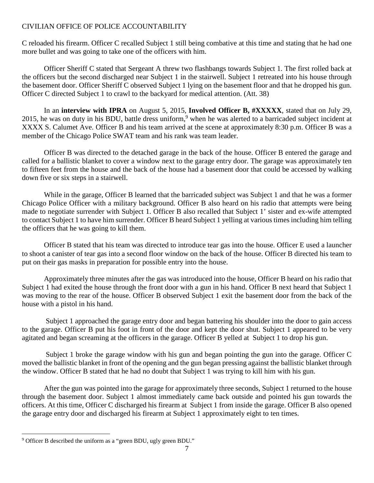C reloaded his firearm. Officer C recalled Subject 1 still being combative at this time and stating that he had one more bullet and was going to take one of the officers with him.

Officer Sheriff C stated that Sergeant A threw two flashbangs towards Subject 1. The first rolled back at the officers but the second discharged near Subject 1 in the stairwell. Subject 1 retreated into his house through the basement door. Officer Sheriff C observed Subject 1 lying on the basement floor and that he dropped his gun. Officer C directed Subject 1 to crawl to the backyard for medical attention. (Att. 38)

In an **interview with IPRA** on August 5, 2015, **Involved Officer B, #XXXXX**, stated that on July 29, 2015, he was on duty in his BDU, battle dress uniform,<sup>[9](#page-6-0)</sup> when he was alerted to a barricaded subject incident at XXXX S. Calumet Ave. Officer B and his team arrived at the scene at approximately 8:30 p.m. Officer B was a member of the Chicago Police SWAT team and his rank was team leader.

Officer B was directed to the detached garage in the back of the house. Officer B entered the garage and called for a ballistic blanket to cover a window next to the garage entry door. The garage was approximately ten to fifteen feet from the house and the back of the house had a basement door that could be accessed by walking down five or six steps in a stairwell.

While in the garage, Officer B learned that the barricaded subject was Subject 1 and that he was a former Chicago Police Officer with a military background. Officer B also heard on his radio that attempts were being made to negotiate surrender with Subject 1. Officer B also recalled that Subject 1' sister and ex-wife attempted to contact Subject 1 to have him surrender. Officer B heard Subject 1 yelling at various times including him telling the officers that he was going to kill them.

Officer B stated that his team was directed to introduce tear gas into the house. Officer E used a launcher to shoot a canister of tear gas into a second floor window on the back of the house. Officer B directed his team to put on their gas masks in preparation for possible entry into the house.

Approximately three minutes after the gas was introduced into the house, Officer B heard on his radio that Subject 1 had exited the house through the front door with a gun in his hand. Officer B next heard that Subject 1 was moving to the rear of the house. Officer B observed Subject 1 exit the basement door from the back of the house with a pistol in his hand.

Subject 1 approached the garage entry door and began battering his shoulder into the door to gain access to the garage. Officer B put his foot in front of the door and kept the door shut. Subject 1 appeared to be very agitated and began screaming at the officers in the garage. Officer B yelled at Subject 1 to drop his gun.

Subject 1 broke the garage window with his gun and began pointing the gun into the garage. Officer C moved the ballistic blanket in front of the opening and the gun began pressing against the ballistic blanket through the window. Officer B stated that he had no doubt that Subject 1 was trying to kill him with his gun.

After the gun was pointed into the garage for approximately three seconds, Subject 1 returned to the house through the basement door. Subject 1 almost immediately came back outside and pointed his gun towards the officers. At this time, Officer C discharged his firearm at Subject 1 from inside the garage. Officer B also opened the garage entry door and discharged his firearm at Subject 1 approximately eight to ten times.

<span id="page-6-0"></span><sup>9</sup> Officer B described the uniform as a "green BDU, ugly green BDU."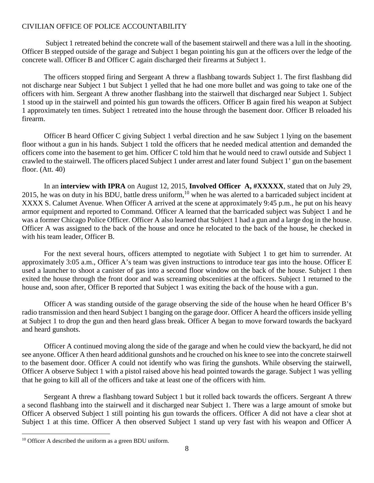Subject 1 retreated behind the concrete wall of the basement stairwell and there was a lull in the shooting. Officer B stepped outside of the garage and Subject 1 began pointing his gun at the officers over the ledge of the concrete wall. Officer B and Officer C again discharged their firearms at Subject 1.

The officers stopped firing and Sergeant A threw a flashbang towards Subject 1. The first flashbang did not discharge near Subject 1 but Subject 1 yelled that he had one more bullet and was going to take one of the officers with him. Sergeant A threw another flashbang into the stairwell that discharged near Subject 1. Subject 1 stood up in the stairwell and pointed his gun towards the officers. Officer B again fired his weapon at Subject 1 approximately ten times. Subject 1 retreated into the house through the basement door. Officer B reloaded his firearm.

Officer B heard Officer C giving Subject 1 verbal direction and he saw Subject 1 lying on the basement floor without a gun in his hands. Subject 1 told the officers that he needed medical attention and demanded the officers come into the basement to get him. Officer C told him that he would need to crawl outside and Subject 1 crawled to the stairwell. The officers placed Subject 1 under arrest and later found Subject 1' gun on the basement floor. (Att. 40)

In an **interview with IPRA** on August 12, 2015, **Involved Officer A, #XXXXX**, stated that on July 29, 2015, he was on duty in his BDU, battle dress uniform,<sup>[10](#page-7-0)</sup> when he was alerted to a barricaded subject incident at XXXX S. Calumet Avenue. When Officer A arrived at the scene at approximately 9:45 p.m., he put on his heavy armor equipment and reported to Command. Officer A learned that the barricaded subject was Subject 1 and he was a former Chicago Police Officer. Officer A also learned that Subject 1 had a gun and a large dog in the house. Officer A was assigned to the back of the house and once he relocated to the back of the house, he checked in with his team leader, Officer B.

For the next several hours, officers attempted to negotiate with Subject 1 to get him to surrender. At approximately 3:05 a.m., Officer A's team was given instructions to introduce tear gas into the house. Officer E used a launcher to shoot a canister of gas into a second floor window on the back of the house. Subject 1 then exited the house through the front door and was screaming obscenities at the officers. Subject 1 returned to the house and, soon after, Officer B reported that Subject 1 was exiting the back of the house with a gun.

Officer A was standing outside of the garage observing the side of the house when he heard Officer B's radio transmission and then heard Subject 1 banging on the garage door. Officer A heard the officers inside yelling at Subject 1 to drop the gun and then heard glass break. Officer A began to move forward towards the backyard and heard gunshots.

Officer A continued moving along the side of the garage and when he could view the backyard, he did not see anyone. Officer A then heard additional gunshots and he crouched on his knee to see into the concrete stairwell to the basement door. Officer A could not identify who was firing the gunshots. While observing the stairwell, Officer A observe Subject 1 with a pistol raised above his head pointed towards the garage. Subject 1 was yelling that he going to kill all of the officers and take at least one of the officers with him.

Sergeant A threw a flashbang toward Subject 1 but it rolled back towards the officers. Sergeant A threw a second flashbang into the stairwell and it discharged near Subject 1. There was a large amount of smoke but Officer A observed Subject 1 still pointing his gun towards the officers. Officer A did not have a clear shot at Subject 1 at this time. Officer A then observed Subject 1 stand up very fast with his weapon and Officer A

<span id="page-7-0"></span> $10$  Officer A described the uniform as a green BDU uniform.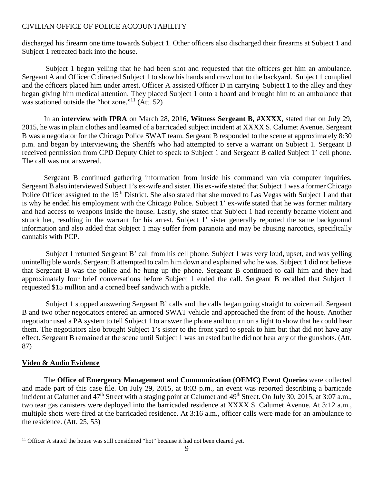discharged his firearm one time towards Subject 1. Other officers also discharged their firearms at Subject 1 and Subject 1 retreated back into the house.

Subject 1 began yelling that he had been shot and requested that the officers get him an ambulance. Sergeant A and Officer C directed Subject 1 to show his hands and crawl out to the backyard. Subject 1 complied and the officers placed him under arrest. Officer A assisted Officer D in carrying Subject 1 to the alley and they began giving him medical attention. They placed Subject 1 onto a board and brought him to an ambulance that was stationed outside the "hot zone."<sup>[11](#page-8-0)</sup> (Att. 52)

In an **interview with IPRA** on March 28, 2016, **Witness Sergeant B, #XXXX**, stated that on July 29, 2015, he was in plain clothes and learned of a barricaded subject incident at XXXX S. Calumet Avenue. Sergeant B was a negotiator for the Chicago Police SWAT team. Sergeant B responded to the scene at approximately 8:30 p.m. and began by interviewing the Sheriffs who had attempted to serve a warrant on Subject 1. Sergeant B received permission from CPD Deputy Chief to speak to Subject 1 and Sergeant B called Subject 1' cell phone. The call was not answered.

Sergeant B continued gathering information from inside his command van via computer inquiries. Sergeant B also interviewed Subject 1's ex-wife and sister. His ex-wife stated that Subject 1 was a former Chicago Police Officer assigned to the 15<sup>th</sup> District. She also stated that she moved to Las Vegas with Subject 1 and that is why he ended his employment with the Chicago Police. Subject 1' ex-wife stated that he was former military and had access to weapons inside the house. Lastly, she stated that Subject 1 had recently became violent and struck her, resulting in the warrant for his arrest. Subject 1' sister generally reported the same background information and also added that Subject 1 may suffer from paranoia and may be abusing narcotics, specifically cannabis with PCP.

Subject 1 returned Sergeant B' call from his cell phone. Subject 1 was very loud, upset, and was yelling unintelligible words. Sergeant B attempted to calm him down and explained who he was. Subject 1 did not believe that Sergeant B was the police and he hung up the phone. Sergeant B continued to call him and they had approximately four brief conversations before Subject 1 ended the call. Sergeant B recalled that Subject 1 requested \$15 million and a corned beef sandwich with a pickle.

Subject 1 stopped answering Sergeant B' calls and the calls began going straight to voicemail. Sergeant B and two other negotiators entered an armored SWAT vehicle and approached the front of the house. Another negotiator used a PA system to tell Subject 1 to answer the phone and to turn on a light to show that he could hear them. The negotiators also brought Subject 1's sister to the front yard to speak to him but that did not have any effect. Sergeant B remained at the scene until Subject 1 was arrested but he did not hear any of the gunshots. (Att. 87)

### **Video & Audio Evidence**

The **Office of Emergency Management and Communication (OEMC) Event Queries** were collected and made part of this case file. On July 29, 2015, at 8:03 p.m., an event was reported describing a barricade incident at Calumet and 47<sup>th</sup> Street with a staging point at Calumet and 49<sup>th</sup> Street. On July 30, 2015, at 3:07 a.m., two tear gas canisters were deployed into the barricaded residence at XXXX S. Calumet Avenue. At 3:12 a.m., multiple shots were fired at the barricaded residence. At 3:16 a.m., officer calls were made for an ambulance to the residence. (Att. 25, 53)

<span id="page-8-0"></span><sup>&</sup>lt;sup>11</sup> Officer A stated the house was still considered "hot" because it had not been cleared yet.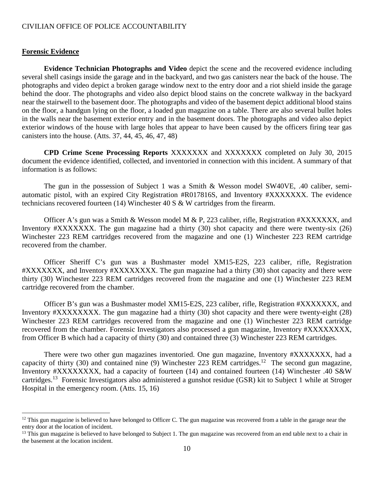#### **Forensic Evidence**

**Evidence Technician Photographs and Video** depict the scene and the recovered evidence including several shell casings inside the garage and in the backyard, and two gas canisters near the back of the house. The photographs and video depict a broken garage window next to the entry door and a riot shield inside the garage behind the door. The photographs and video also depict blood stains on the concrete walkway in the backyard near the stairwell to the basement door. The photographs and video of the basement depict additional blood stains on the floor, a handgun lying on the floor, a loaded gun magazine on a table. There are also several bullet holes in the walls near the basement exterior entry and in the basement doors. The photographs and video also depict exterior windows of the house with large holes that appear to have been caused by the officers firing tear gas canisters into the house. (Atts. 37, 44, 45, 46, 47, 48)

**CPD Crime Scene Processing Reports** XXXXXXX and XXXXXXX completed on July 30, 2015 document the evidence identified, collected, and inventoried in connection with this incident. A summary of that information is as follows:

The gun in the possession of Subject 1 was a Smith & Wesson model SW40VE, .40 caliber, semiautomatic pistol, with an expired City Registration #R017816S, and Inventory #XXXXXXX. The evidence technicians recovered fourteen (14) Winchester 40 S & W cartridges from the firearm.

Officer A's gun was a Smith & Wesson model M & P, 223 caliber, rifle, Registration #XXXXXXX, and Inventory #XXXXXXX. The gun magazine had a thirty (30) shot capacity and there were twenty-six (26) Winchester 223 REM cartridges recovered from the magazine and one (1) Winchester 223 REM cartridge recovered from the chamber.

Officer Sheriff C's gun was a Bushmaster model XM15-E2S, 223 caliber, rifle, Registration #XXXXXXX, and Inventory #XXXXXXXX. The gun magazine had a thirty (30) shot capacity and there were thirty (30) Winchester 223 REM cartridges recovered from the magazine and one (1) Winchester 223 REM cartridge recovered from the chamber.

Officer B's gun was a Bushmaster model XM15-E2S, 223 caliber, rifle, Registration #XXXXXXX, and Inventory #XXXXXXXX. The gun magazine had a thirty (30) shot capacity and there were twenty-eight (28) Winchester 223 REM cartridges recovered from the magazine and one (1) Winchester 223 REM cartridge recovered from the chamber. Forensic Investigators also processed a gun magazine, Inventory #XXXXXXXX, from Officer B which had a capacity of thirty (30) and contained three (3) Winchester 223 REM cartridges.

There were two other gun magazines inventoried. One gun magazine, Inventory #XXXXXXX, had a capacity of thirty (30) and contained nine (9) Winchester 223 REM cartridges.<sup>[12](#page-9-0)</sup> The second gun magazine, Inventory #XXXXXXXX, had a capacity of fourteen (14) and contained fourteen (14) Winchester .40 S&W cartridges.[13](#page-9-1) Forensic Investigators also administered a gunshot residue (GSR) kit to Subject 1 while at Stroger Hospital in the emergency room. (Atts. 15, 16)

<span id="page-9-0"></span> $12$  This gun magazine is believed to have belonged to Officer C. The gun magazine was recovered from a table in the garage near the entry door at the location of incident.

<span id="page-9-1"></span> $13$  This gun magazine is believed to have belonged to Subject 1. The gun magazine was recovered from an end table next to a chair in the basement at the location incident.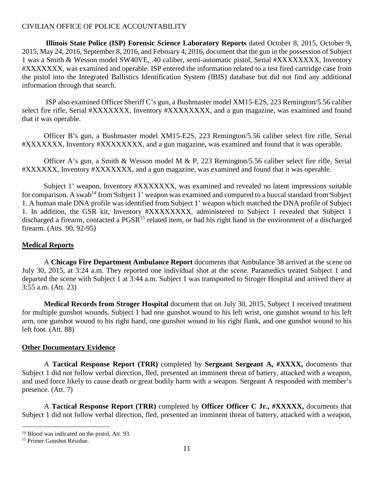**Illinois State Police (ISP) Forensic Science Laboratory Reports** dated October 8, 2015, October 9, 2015, May 24, 2016, September 8, 2016, and February 4, 2016, document that the gun in the possession of Subject 1 was a Smith & Wesson model SW40VE, .40 caliber, semi-automatic pistol, Serial #XXXXXXXX, Inventory #XXXXXXX, was examined and operable. ISP entered the information related to a test fired cartridge case from the pistol into the Integrated Ballistics Identification System (IBIS) database but did not find any additional information through that search.

ISP also examined Officer Sheriff C's gun, a Bushmaster model XM15-E2S, 223 Remington/5.56 caliber select fire rifle, Serial #XXXXXXX, Inventory #XXXXXXXX, and a gun magazine, was examined and found that it was operable.

Officer B's gun, a Bushmaster model XM15-E2S, 223 Remington/5.56 caliber select fire rifle, Serial #XXXXXXX, Inventory #XXXXXXXX, and a gun magazine, was examined and found that it was operable.

Officer A's gun, a Smith & Wesson model M & P, 223 Remington/5.56 caliber select fire rifle, Serial #XXXXXX, Inventory #XXXXXXX, and a gun magazine, was examined and found that it was operable.

Subject 1' weapon, Inventory #XXXXXXX, was examined and revealed no latent impressions suitable for comparison. A swab<sup>[14](#page-10-0)</sup> from Subject 1' weapon was examined and compared to a buccal standard from Subject 1. A human male DNA profile was identified from Subject 1' weapon which matched the DNA profile of Subject 1. In addition, the GSR kit, Inventory #XXXXXXXX, administered to Subject 1 revealed that Subject 1 discharged a firearm, contacted a PGSR<sup>[15](#page-10-1)</sup> related item, or had his right hand in the environment of a discharged firearm. (Atts. 90, 92-95)

## **Medical Reports**

A **Chicago Fire Department Ambulance Report** documents that Ambulance 38 arrived at the scene on July 30, 2015, at 3:24 a.m. They reported one individual shot at the scene. Paramedics treated Subject 1 and departed the scene with Subject 1 at 3:44 a.m. Subject 1 was transported to Stroger Hospital and arrived there at 3:55 a.m. (Att. 23)

**Medical Records from Stroger Hospital** document that on July 30, 2015, Subject 1 received treatment for multiple gunshot wounds. Subject 1 had one gunshot wound to his left wrist, one gunshot wound to his left arm, one gunshot wound to his right hand, one gunshot wound to his right flank, and one gunshot wound to his left foot. (Att. 88)

### **Other Documentary Evidence**

A **Tactical Response Report (TRR)** completed by **Sergeant Sergeant A, #XXXX,** documents that Subject 1 did not follow verbal direction, fled, presented an imminent threat of battery, attacked with a weapon, and used force likely to cause death or great bodily harm with a weapon. Sergeant A responded with member's presence. (Att. 7)

A **Tactical Response Report (TRR)** completed by **Officer Officer C Jr., #XXXXX,** documents that Subject 1 did not follow verbal direction, fled, presented an imminent threat of battery, attacked with a weapon,

<span id="page-10-1"></span><span id="page-10-0"></span><sup>&</sup>lt;sup>14</sup> Blood was indicated on the pistol, Att. 93.

<sup>15</sup> Primer Gunshot Residue.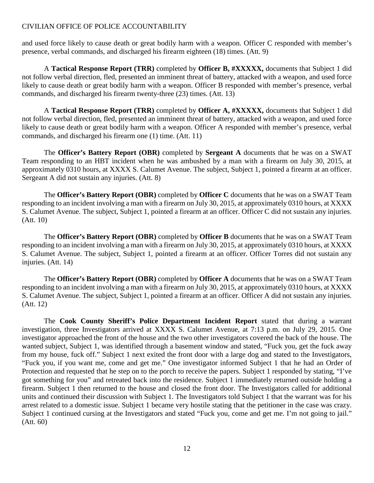and used force likely to cause death or great bodily harm with a weapon. Officer C responded with member's presence, verbal commands, and discharged his firearm eighteen (18) times. (Att. 9)

A **Tactical Response Report (TRR)** completed by **Officer B, #XXXXX,** documents that Subject 1 did not follow verbal direction, fled, presented an imminent threat of battery, attacked with a weapon, and used force likely to cause death or great bodily harm with a weapon. Officer B responded with member's presence, verbal commands, and discharged his firearm twenty-three (23) times. (Att. 13)

A **Tactical Response Report (TRR)** completed by **Officer A, #XXXXX,** documents that Subject 1 did not follow verbal direction, fled, presented an imminent threat of battery, attacked with a weapon, and used force likely to cause death or great bodily harm with a weapon. Officer A responded with member's presence, verbal commands, and discharged his firearm one (1) time. (Att. 11)

The **Officer's Battery Report (OBR)** completed by **Sergeant A** documents that he was on a SWAT Team responding to an HBT incident when he was ambushed by a man with a firearm on July 30, 2015, at approximately 0310 hours, at XXXX S. Calumet Avenue. The subject, Subject 1, pointed a firearm at an officer. Sergeant A did not sustain any injuries. (Att. 8)

The **Officer's Battery Report (OBR)** completed by **Officer C** documents that he was on a SWAT Team responding to an incident involving a man with a firearm on July 30, 2015, at approximately 0310 hours, at XXXX S. Calumet Avenue. The subject, Subject 1, pointed a firearm at an officer. Officer C did not sustain any injuries. (Att. 10)

The **Officer's Battery Report (OBR)** completed by **Officer B** documents that he was on a SWAT Team responding to an incident involving a man with a firearm on July 30, 2015, at approximately 0310 hours, at XXXX S. Calumet Avenue. The subject, Subject 1, pointed a firearm at an officer. Officer Torres did not sustain any injuries. (Att. 14)

The **Officer's Battery Report (OBR)** completed by **Officer A** documents that he was on a SWAT Team responding to an incident involving a man with a firearm on July 30, 2015, at approximately 0310 hours, at XXXX S. Calumet Avenue. The subject, Subject 1, pointed a firearm at an officer. Officer A did not sustain any injuries. (Att. 12)

The **Cook County Sheriff's Police Department Incident Report** stated that during a warrant investigation, three Investigators arrived at XXXX S. Calumet Avenue, at 7:13 p.m. on July 29, 2015. One investigator approached the front of the house and the two other investigators covered the back of the house. The wanted subject, Subject 1, was identified through a basement window and stated, "Fuck you, get the fuck away from my house, fuck off." Subject 1 next exited the front door with a large dog and stated to the Investigators, "Fuck you, if you want me, come and get me." One investigator informed Subject 1 that he had an Order of Protection and requested that he step on to the porch to receive the papers. Subject 1 responded by stating, "I've got something for you" and retreated back into the residence. Subject 1 immediately returned outside holding a firearm. Subject 1 then returned to the house and closed the front door. The Investigators called for additional units and continued their discussion with Subject 1. The Investigators told Subject 1 that the warrant was for his arrest related to a domestic issue. Subject 1 became very hostile stating that the petitioner in the case was crazy. Subject 1 continued cursing at the Investigators and stated "Fuck you, come and get me. I'm not going to jail." (Att. 60)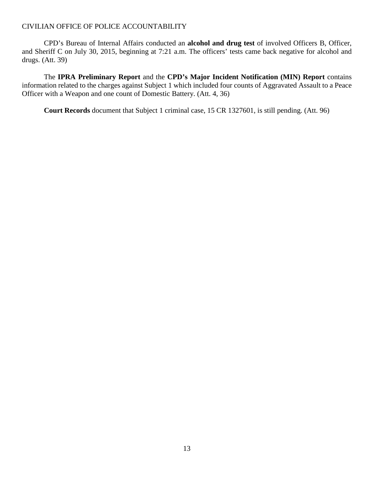CPD's Bureau of Internal Affairs conducted an **alcohol and drug test** of involved Officers B, Officer, and Sheriff C on July 30, 2015, beginning at 7:21 a.m. The officers' tests came back negative for alcohol and drugs. (Att. 39)

The **IPRA Preliminary Report** and the **CPD's Major Incident Notification (MIN) Report** contains information related to the charges against Subject 1 which included four counts of Aggravated Assault to a Peace Officer with a Weapon and one count of Domestic Battery. (Att. 4, 36)

**Court Records** document that Subject 1 criminal case, 15 CR 1327601, is still pending. (Att. 96)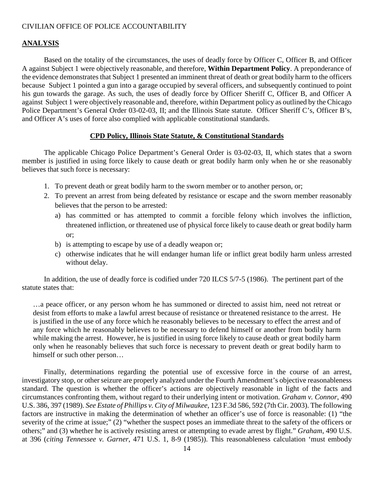#### **ANALYSIS**

Based on the totality of the circumstances, the uses of deadly force by Officer C, Officer B, and Officer A against Subject 1 were objectively reasonable, and therefore, **Within Department Policy**. A preponderance of the evidence demonstrates that Subject 1 presented an imminent threat of death or great bodily harm to the officers because Subject 1 pointed a gun into a garage occupied by several officers, and subsequently continued to point his gun towards the garage. As such, the uses of deadly force by Officer Sheriff C, Officer B, and Officer A against Subject 1 were objectively reasonable and, therefore, within Department policy as outlined by the Chicago Police Department's General Order 03-02-03, II; and the Illinois State statute. Officer Sheriff C's, Officer B's, and Officer A's uses of force also complied with applicable constitutional standards.

#### **CPD Policy, Illinois State Statute, & Constitutional Standards**

The applicable Chicago Police Department's General Order is 03-02-03, II, which states that a sworn member is justified in using force likely to cause death or great bodily harm only when he or she reasonably believes that such force is necessary:

- 1. To prevent death or great bodily harm to the sworn member or to another person, or;
- 2. To prevent an arrest from being defeated by resistance or escape and the sworn member reasonably believes that the person to be arrested:
	- a) has committed or has attempted to commit a forcible felony which involves the infliction, threatened infliction, or threatened use of physical force likely to cause death or great bodily harm or;
	- b) is attempting to escape by use of a deadly weapon or;
	- c) otherwise indicates that he will endanger human life or inflict great bodily harm unless arrested without delay.

In addition, the use of deadly force is codified under 720 ILCS 5/7-5 (1986). The pertinent part of the statute states that:

…a peace officer, or any person whom he has summoned or directed to assist him, need not retreat or desist from efforts to make a lawful arrest because of resistance or threatened resistance to the arrest. He is justified in the use of any force which he reasonably believes to be necessary to effect the arrest and of any force which he reasonably believes to be necessary to defend himself or another from bodily harm while making the arrest. However, he is justified in using force likely to cause death or great bodily harm only when he reasonably believes that such force is necessary to prevent death or great bodily harm to himself or such other person…

Finally, determinations regarding the potential use of excessive force in the course of an arrest, investigatory stop, or other seizure are properly analyzed under the Fourth Amendment's objective reasonableness standard. The question is whether the officer's actions are objectively reasonable in light of the facts and circumstances confronting them, without regard to their underlying intent or motivation. *Graham v. Connor*, 490 U.S. 386, 397 (1989). *See Estate of Phillips v. City of Milwaukee*, 123 F.3d 586, 592 (7th Cir. 2003). The following factors are instructive in making the determination of whether an officer's use of force is reasonable: (1) "the severity of the crime at issue;" (2) "whether the suspect poses an immediate threat to the safety of the officers or others;" and (3) whether he is actively resisting arrest or attempting to evade arrest by flight." *Graham*, 490 U.S. at 396 (*citing Tennessee v. Garner*, 471 U.S. 1, 8-9 (1985)). This reasonableness calculation 'must embody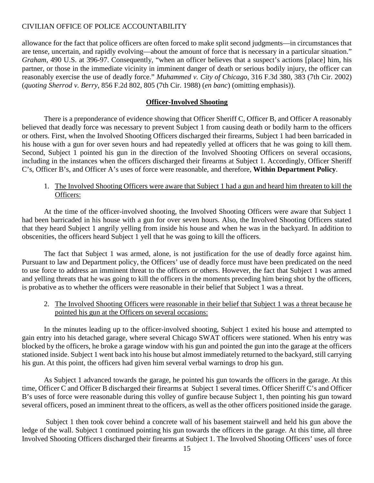allowance for the fact that police officers are often forced to make split second judgments—in circumstances that are tense, uncertain, and rapidly evolving—about the amount of force that is necessary in a particular situation." *Graham*, 490 U.S. at 396-97. Consequently, "when an officer believes that a suspect's actions [place] him, his partner, or those in the immediate vicinity in imminent danger of death or serious bodily injury, the officer can reasonably exercise the use of deadly force." *Muhammed v. City of Chicago*, 316 F.3d 380, 383 (7th Cir. 2002) (*quoting Sherrod v. Berry*, 856 F.2d 802, 805 (7th Cir. 1988) (*en banc*) (omitting emphasis)).

#### **Officer-Involved Shooting**

There is a preponderance of evidence showing that Officer Sheriff C, Officer B, and Officer A reasonably believed that deadly force was necessary to prevent Subject 1 from causing death or bodily harm to the officers or others. First, when the Involved Shooting Officers discharged their firearms, Subject 1 had been barricaded in his house with a gun for over seven hours and had repeatedly yelled at officers that he was going to kill them. Second, Subject 1 pointed his gun in the direction of the Involved Shooting Officers on several occasions, including in the instances when the officers discharged their firearms at Subject 1. Accordingly, Officer Sheriff C's, Officer B's, and Officer A's uses of force were reasonable, and therefore, **Within Department Policy**.

## 1. The Involved Shooting Officers were aware that Subject 1 had a gun and heard him threaten to kill the Officers:

At the time of the officer-involved shooting, the Involved Shooting Officers were aware that Subject 1 had been barricaded in his house with a gun for over seven hours. Also, the Involved Shooting Officers stated that they heard Subject 1 angrily yelling from inside his house and when he was in the backyard. In addition to obscenities, the officers heard Subject 1 yell that he was going to kill the officers.

The fact that Subject 1 was armed, alone, is not justification for the use of deadly force against him. Pursuant to law and Department policy, the Officers' use of deadly force must have been predicated on the need to use force to address an imminent threat to the officers or others. However, the fact that Subject 1 was armed and yelling threats that he was going to kill the officers in the moments preceding him being shot by the officers, is probative as to whether the officers were reasonable in their belief that Subject 1 was a threat.

### 2. The Involved Shooting Officers were reasonable in their belief that Subject 1 was a threat because he pointed his gun at the Officers on several occasions:

In the minutes leading up to the officer-involved shooting, Subject 1 exited his house and attempted to gain entry into his detached garage, where several Chicago SWAT officers were stationed. When his entry was blocked by the officers, he broke a garage window with his gun and pointed the gun into the garage at the officers stationed inside. Subject 1 went back into his house but almost immediately returned to the backyard, still carrying his gun. At this point, the officers had given him several verbal warnings to drop his gun.

As Subject 1 advanced towards the garage, he pointed his gun towards the officers in the garage. At this time, Officer C and Officer B discharged their firearms at Subject 1 several times. Officer Sheriff C's and Officer B's uses of force were reasonable during this volley of gunfire because Subject 1, then pointing his gun toward several officers, posed an imminent threat to the officers, as well as the other officers positioned inside the garage.

Subject 1 then took cover behind a concrete wall of his basement stairwell and held his gun above the ledge of the wall. Subject 1 continued pointing his gun towards the officers in the garage. At this time, all three Involved Shooting Officers discharged their firearms at Subject 1. The Involved Shooting Officers' uses of force